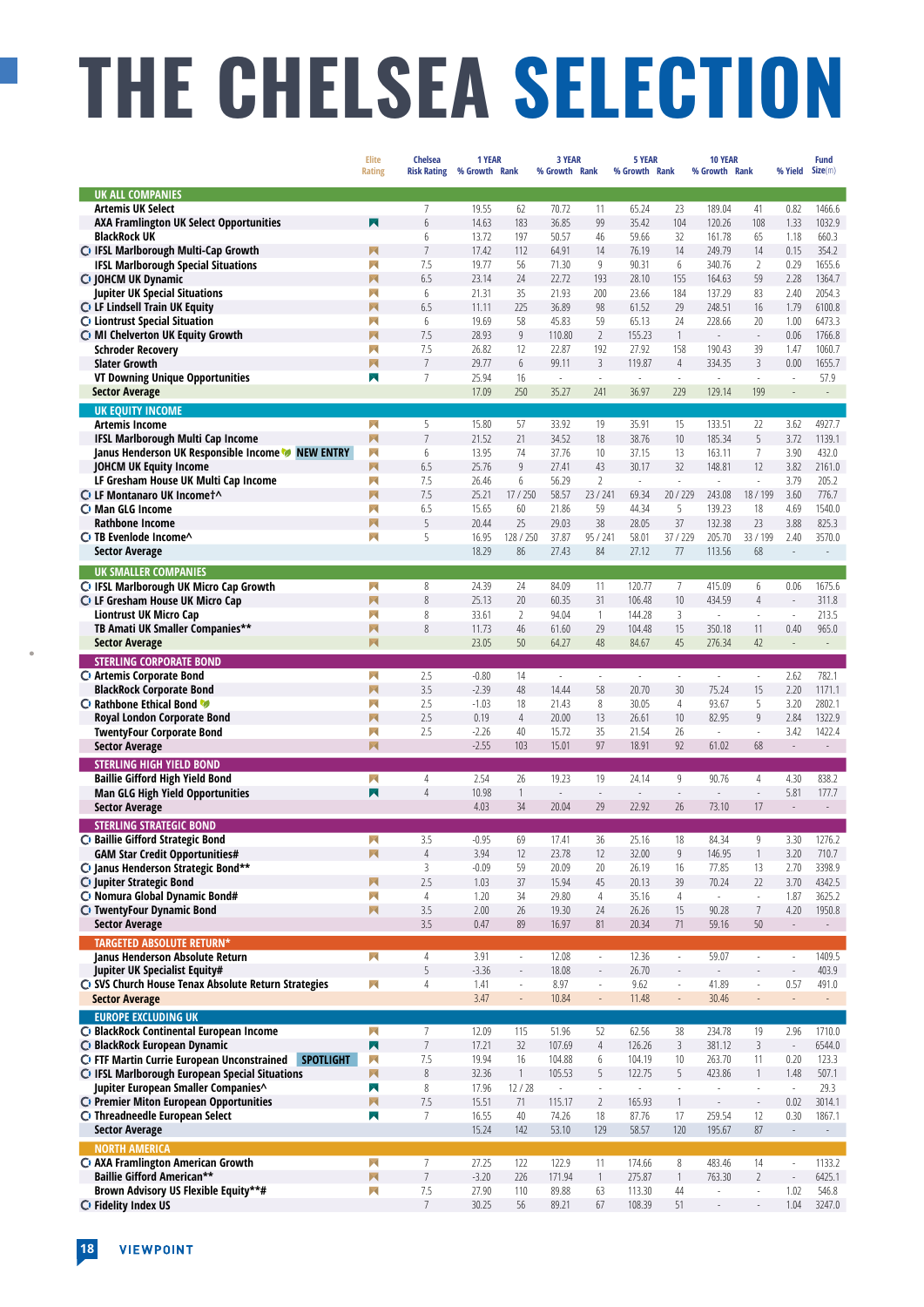## **THE CHELSEA SELECTION**

|                                                                                     | Elite<br><b>Rating</b>     | <b>Chelsea</b><br><b>Risk Rating</b> | 1 YEAR<br>% Growth Rank |                 | 3 YEAR<br>% Growth Rank |                          | 5 YEAR<br>% Growth Rank |                          | <b>10 YEAR</b><br>% Growth Rank |                                | % Yield                          | <b>Fund</b><br>Size(m)            |
|-------------------------------------------------------------------------------------|----------------------------|--------------------------------------|-------------------------|-----------------|-------------------------|--------------------------|-------------------------|--------------------------|---------------------------------|--------------------------------|----------------------------------|-----------------------------------|
| <b>UK ALL COMPANIES</b>                                                             |                            |                                      |                         |                 |                         |                          |                         |                          |                                 |                                |                                  |                                   |
| <b>Artemis UK Select</b>                                                            |                            | $\overline{7}$                       | 19.55                   | 62              | 70.72                   | 11                       | 65.24                   | 23                       | 189.04                          | 41                             | 0.82                             | 1466.6                            |
| <b>AXA Framlington UK Select Opportunities</b>                                      | $\boxtimes$                | 6                                    | 14.63                   | 183             | 36.85                   | 99                       | 35.42                   | 104                      | 120.26                          | 108                            | 1.33                             | 1032.9                            |
| <b>BlackRock UK</b>                                                                 |                            | 6                                    | 13.72                   | 197             | 50.57                   | 46                       | 59.66                   | 32                       | 161.78                          | 65                             | 1.18                             | 660.3                             |
| C IFSL Marlborough Multi-Cap Growth<br><b>IFSL Marlborough Special Situations</b>   | ×<br>X                     | $\overline{7}$<br>7.5                | 17.42<br>19.77          | 112<br>56       | 64.91<br>71.30          | 14<br>9                  | 76.19<br>90.31          | 14<br>6                  | 249.79<br>340.76                | 14<br>$\overline{2}$           | 0.15<br>0.29                     | 354.2<br>1655.6                   |
| $\bigcirc$ JOHCM UK Dynamic                                                         | X                          | 6.5                                  | 23.14                   | 24              | 22.72                   | 193                      | 28.10                   | 155                      | 164.63                          | 59                             | 2.28                             | 1364.7                            |
| <b>Jupiter UK Special Situations</b>                                                | ×                          | 6                                    | 21.31                   | 35              | 21.93                   | 200                      | 23.66                   | 184                      | 137.29                          | 83                             | 2.40                             | 2054.3                            |
| $C$ LF Lindsell Train UK Equity                                                     | ×                          | 6.5                                  | 11.11                   | 225             | 36.89                   | 98                       | 61.52                   | 29                       | 248.51                          | 16                             | 1.79                             | 6100.8                            |
| <b>C</b> Liontrust Special Situation                                                | ×                          | 6                                    | 19.69                   | 58              | 45.83                   | 59                       | 65.13                   | 24                       | 228.66                          | 20                             | 1.00                             | 6473.3                            |
| C MI Chelverton UK Equity Growth<br><b>Schroder Recovery</b>                        | X<br>X                     | 7.5<br>7.5                           | 28.93                   | 9               | 110.80                  | $\overline{2}$<br>192    | 155.23<br>27.92         | $\mathbf{1}$             |                                 | $\overline{\phantom{a}}$       | 0.06                             | 1766.8<br>1060.7                  |
| <b>Slater Growth</b>                                                                | ×                          | $\overline{7}$                       | 26.82<br>29.77          | 12<br>6         | 22.87<br>99.11          | 3                        | 119.87                  | 158<br>$\overline{4}$    | 190.43<br>334.35                | 39<br>3                        | 1.47<br>0.00                     | 1655.7                            |
| <b>VT Downing Unique Opportunities</b>                                              | X                          | 7                                    | 25.94                   | 16              | $\sim$                  | $\sim$                   | $\bar{a}$               | ÷.                       | L.                              | $\overline{\phantom{a}}$       | J.                               | 57.9                              |
| <b>Sector Average</b>                                                               |                            |                                      | 17.09                   | 250             | 35.27                   | 241                      | 36.97                   | 229                      | 129.14                          | 199                            |                                  | ÷,                                |
| <b>UK EQUITY INCOME</b>                                                             |                            |                                      |                         |                 |                         |                          |                         |                          |                                 |                                |                                  |                                   |
| <b>Artemis Income</b>                                                               | X                          | 5                                    | 15.80                   | 57              | 33.92                   | 19                       | 35.91                   | 15                       | 133.51                          | 22                             | 3.62                             | 4927.7                            |
| IFSL Marlborough Multi Cap Income                                                   | X<br>×                     | $\overline{7}$<br>6                  | 21.52<br>13.95          | 21<br>74        | 34.52<br>37.76          | 18<br>10                 | 38.76<br>37.15          | 10<br>13                 | 185.34<br>163.11                | 5<br>7                         | 3.72<br>3.90                     | 1139.1<br>432.0                   |
| Janus Henderson UK Responsible Income M NEW ENTRY<br><b>JOHCM UK Equity Income</b>  | X                          | 6.5                                  | 25.76                   | 9               | 27.41                   | 43                       | 30.17                   | 32                       | 148.81                          | 12                             | 3.82                             | 2161.0                            |
| LF Gresham House UK Multi Cap Income                                                | ×                          | 7.5                                  | 26.46                   | 6               | 56.29                   | $\overline{2}$           | $\omega$                | ä,                       | ÷,                              | ÷,                             | 3.79                             | 205.2                             |
| ○ LF Montanaro UK Income†^                                                          | X                          | 7.5                                  | 25.21                   | 17/250          | 58.57                   | 23/241                   | 69.34                   | 20 / 229                 | 243.08                          | 18 / 199                       | 3.60                             | 776.7                             |
| $\mathbf C$ Man GLG Income                                                          | X                          | 6.5                                  | 15.65                   | 60              | 21.86                   | 59                       | 44.34                   | 5                        | 139.23                          | 18                             | 4.69                             | 1540.0                            |
| <b>Rathbone Income</b><br>$\mathsf{\color{red}\mathsf{C}}$ TB Evenlode Income^      | M<br>×                     | 5<br>5                               | 20.44                   | 25<br>128 / 250 | 29.03<br>37.87          | 38<br>95 / 241           | 28.05<br>58.01          | 37<br>37 / 229           | 132.38<br>205.70                | 23<br>33 / 199                 | 3.88<br>2.40                     | 825.3<br>3570.0                   |
| <b>Sector Average</b>                                                               |                            |                                      | 16.95<br>18.29          | 86              | 27.43                   | 84                       | 27.12                   | 77                       | 113.56                          | 68                             |                                  | ÷.                                |
| <b>UK SMALLER COMPANIES</b>                                                         |                            |                                      |                         |                 |                         |                          |                         |                          |                                 |                                |                                  |                                   |
| C IFSL Marlborough UK Micro Cap Growth                                              | ×                          | 8                                    | 24.39                   | 24              | 84.09                   | 11                       | 120.77                  | $\overline{7}$           | 415.09                          | 6                              | 0.06                             | 1675.6                            |
| C LF Gresham House UK Micro Cap                                                     | X                          | 8                                    | 25.13                   | 20              | 60.35                   | 31                       | 106.48                  | 10                       | 434.59                          | $\sqrt{4}$                     |                                  | 311.8                             |
| <b>Liontrust UK Micro Cap</b>                                                       | ×                          | 8                                    | 33.61                   | $\overline{2}$  | 94.04                   | 1                        | 144.28                  | 3                        |                                 | ×.                             | ×,                               | 213.5                             |
| TB Amati UK Smaller Companies**                                                     | X<br>$\blacksquare$        | 8                                    | 11.73<br>23.05          | 46<br>50        | 61.60                   | 29<br>48                 | 104.48                  | 15<br>45                 | 350.18                          | 11<br>42                       | 0.40                             | 965.0<br>$\overline{\phantom{a}}$ |
| <b>Sector Average</b><br><b>STERLING CORPORATE BOND</b>                             |                            |                                      |                         |                 | 64.27                   |                          | 84.67                   |                          | 276.34                          |                                |                                  |                                   |
| C Artemis Corporate Bond                                                            | ×                          | 2.5                                  | $-0.80$                 | 14              | $\sim$                  | ×.                       | $\sim$                  | ÷,                       | ÷,                              | $\overline{\phantom{a}}$       | 2.62                             | 782.1                             |
| <b>BlackRock Corporate Bond</b>                                                     | X                          | 3.5                                  | $-2.39$                 | 48              | 14.44                   | 58                       | 20.70                   | 30                       | 75.24                           | 15                             | 2.20                             | 1171.1                            |
| C) Rathbone Ethical Bond W                                                          | X                          | 2.5                                  | $-1.03$                 | 18              | 21.43                   | 8                        | 30.05                   | 4                        | 93.67                           | 5                              | 3.20                             | 2802.1                            |
| Royal London Corporate Bond<br><b>TwentyFour Corporate Bond</b>                     | X<br>×                     | 2.5<br>2.5                           | 0.19<br>$-2.26$         | 4<br>40         | 20.00<br>15.72          | 13<br>35                 | 26.61<br>21.54          | 10<br>26                 | 82.95<br>÷,                     | 9<br>$\overline{\phantom{a}}$  | 2.84<br>3.42                     | 1322.9<br>1422.4                  |
| <b>Sector Average</b>                                                               | X                          |                                      | $-2.55$                 | 103             | 15.01                   | 97                       | 18.91                   | 92                       | 61.02                           | 68                             |                                  | ÷,                                |
| <b>STERLING HIGH YIELD BOND</b>                                                     |                            |                                      |                         |                 |                         |                          |                         |                          |                                 |                                |                                  |                                   |
| <b>Baillie Gifford High Yield Bond</b>                                              | X                          | $\overline{4}$                       | 2.54                    | 26              | 19.23                   | 19                       | 24.14                   | 9                        | 90.76                           | 4                              | 4.30                             | 838.2                             |
| <b>Man GLG High Yield Opportunities</b>                                             | $\boxtimes$                | $\overline{4}$                       | 10.98                   | $\mathbf{1}$    | $\sim$                  | $\overline{\phantom{a}}$ | $\sim$                  | $\bar{z}$                | ÷,                              | $\overline{\phantom{a}}$       | 5.81                             | 177.7                             |
| <b>Sector Average</b>                                                               |                            |                                      | 4.03                    | 34              | 20.04                   | 29                       | 22.92                   | 26                       | 73.10                           | 17                             |                                  | ÷,                                |
| <b>STERLING STRATEGIC BOND</b>                                                      |                            |                                      |                         |                 |                         |                          |                         |                          |                                 |                                |                                  |                                   |
| <b>Baillie Gifford Strategic Bond</b><br>o<br><b>GAM Star Credit Opportunities#</b> | ×<br>X                     | 3.5<br>4                             | $-0.95$<br>3.94         | 69<br>12        | 17.41<br>23.78          | 36<br>12                 | 25.16<br>32.00          | 18<br>9                  | 84.34<br>146.95                 | 9<br>$\mathbf{1}$              | 3.30<br>3.20                     | 1276.2<br>710.7                   |
| C Janus Henderson Strategic Bond**                                                  |                            | 3                                    | $-0.09$                 | 59              | 20.09                   | 20                       | 26.19                   | 16                       | 77.85                           | 13                             | 2.70                             | 3398.9                            |
| C Jupiter Strategic Bond                                                            | N                          | 2.5                                  | 1.03                    | 37              | 15.94                   | 45                       | 20.13                   | 39                       | 70.24                           | 22                             | 3.70                             | 4342.5                            |
| C Nomura Global Dynamic Bond#                                                       | ×                          | $\overline{4}$                       | 1.20                    | 34              | 29.80                   | 4                        | 35.16                   | 4                        | $\mathcal{L}_{\mathcal{A}}$     | $\overline{\phantom{a}}$       | 1.87                             | 3625.2                            |
| C TwentyFour Dynamic Bond<br><b>Sector Average</b>                                  | X                          | 3.5<br>3.5                           | 2.00<br>0.47            | 26<br>89        | 19.30<br>16.97          | 24<br>81                 | 26.26<br>20.34          | 15<br>71                 | 90.28<br>59.16                  | $\overline{7}$<br>50           | 4.20<br>$\overline{\phantom{a}}$ | 1950.8<br>$\sim$                  |
| <b>TARGETED ABSOLUTE RETURN*</b>                                                    |                            |                                      |                         |                 |                         |                          |                         |                          |                                 |                                |                                  |                                   |
| Janus Henderson Absolute Return                                                     | X                          | 4                                    | 3.91                    | ÷.              | 12.08                   | ¥,                       | 12.36                   | à,                       | 59.07                           | $\overline{\phantom{a}}$       | $\overline{\phantom{a}}$         | 1409.5                            |
| Jupiter UK Specialist Equity#                                                       |                            | 5                                    | $-3.36$                 |                 | 18.08                   |                          | 26.70                   | $\overline{\phantom{a}}$ | $\overline{\phantom{a}}$        |                                |                                  | 403.9                             |
| C SVS Church House Tenax Absolute Return Strategies                                 | ×                          | 4                                    | 1.41                    | ×               | 8.97                    | ä,                       | 9.62                    | $\blacksquare$           | 41.89                           | ÷,                             | 0.57                             | 491.0                             |
| <b>Sector Average</b>                                                               |                            |                                      | 3.47                    |                 | 10.84                   | $\overline{\phantom{a}}$ | 11.48                   | $\blacksquare$           | 30.46                           | ÷                              | $\frac{1}{2}$                    | $\sim$                            |
| <b>EUROPE EXCLUDING UK</b><br>C BlackRock Continental European Income               | X                          | $\overline{7}$                       | 12.09                   | 115             | 51.96                   | 52                       | 62.56                   | 38                       | 234.78                          | 19                             | 2.96                             | 1710.0                            |
| C BlackRock European Dynamic                                                        | X                          | $\overline{7}$                       | 17.21                   | 32              | 107.69                  | $\overline{4}$           | 126.26                  | 3                        | 381.12                          | 3                              | $\overline{\phantom{a}}$         | 6544.0                            |
| C FTF Martin Currie European Unconstrained<br><b>SPOTLIGHT</b>                      | ×                          | 7.5                                  | 19.94                   | 16              | 104.88                  | 6                        | 104.19                  | 10                       | 263.70                          | 11                             | 0.20                             | 123.3                             |
| C IFSL Marlborough European Special Situations                                      | X                          | $\,8\,$                              | 32.36                   | $\mathbf{1}$    | 105.53                  | 5                        | 122.75                  | 5                        | 423.86                          | $\mathbf{1}$                   | 1.48                             | 507.1                             |
| Jupiter European Smaller Companies^                                                 | X                          | 8                                    | 17.96                   | 12/28           | $\sim$                  | ä,                       | ÷.                      | ä,                       |                                 | $\overline{\phantom{a}}$       | $\sim$                           | 29.3                              |
| C Premier Miton European Opportunities<br>C Threadneedle European Select            | $\blacktriangleright$<br>X | 7.5<br>$\overline{7}$                | 15.51<br>16.55          | 71<br>40        | 115.17<br>74.26         | $\overline{2}$<br>18     | 165.93<br>87.76         | $\mathbf{1}$<br>17       | $\frac{1}{2}$<br>259.54         | $\overline{\phantom{a}}$<br>12 | 0.02<br>0.30                     | 3014.1<br>1867.1                  |
| <b>Sector Average</b>                                                               |                            |                                      | 15.24                   | 142             | 53.10                   | 129                      | 58.57                   | 120                      | 195.67                          | 87                             | $\bar{\phantom{a}}$              | $\sim$                            |
| <b>NORTH AMERICA</b>                                                                |                            |                                      |                         |                 |                         |                          |                         |                          |                                 |                                |                                  |                                   |
| C AXA Framlington American Growth                                                   | ×                          | $\overline{7}$                       | 27.25                   | 122             | 122.9                   | 11                       | 174.66                  | 8                        | 483.46                          | 14                             | $\overline{\phantom{a}}$         | 1133.2                            |
| <b>Baillie Gifford American**</b>                                                   | X                          | 7                                    | $-3.20$                 | 226             | 171.94                  | 1                        | 275.87                  | $\mathbf{1}$             | 763.30                          | $\overline{2}$                 |                                  | 6425.1                            |
| Brown Advisory US Flexible Equity**#<br>C Fidelity Index US                         | X                          | 7.5<br>$\overline{7}$                | 27.90<br>30.25          | 110<br>56       | 89.88<br>89.21          | 63<br>67                 | 113.30<br>108.39        | 44<br>51                 | ÷,<br>$\overline{\phantom{a}}$  | ÷.<br>$\overline{\phantom{a}}$ | 1.02<br>1.04                     | 546.8<br>3247.0                   |
|                                                                                     |                            |                                      |                         |                 |                         |                          |                         |                          |                                 |                                |                                  |                                   |